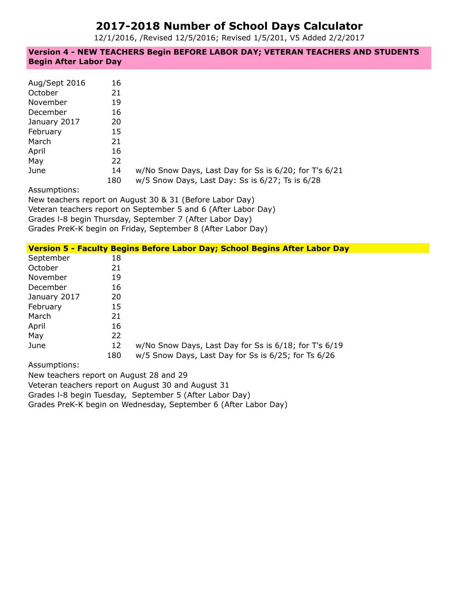# **2017-2018 Number of School Days Calculator**

12/1/2016, /Revised 12/5/2016; Revised 1/5/201, V5 Added 2/2/2017

**Version 4 - NEW TEACHERS Begin BEFORE LABOR DAY; VETERAN TEACHERS AND STUDENTS Begin After Labor Day**

| Aug/Sept 2016<br>October<br>November<br>December | 16<br>21<br>19<br>16 |                                                                                                          |
|--------------------------------------------------|----------------------|----------------------------------------------------------------------------------------------------------|
| January 2017                                     | 20                   |                                                                                                          |
| February<br>March                                | 15<br>21             |                                                                                                          |
| April<br>May                                     | 16<br>22             |                                                                                                          |
| June                                             | 14<br>180            | w/No Snow Days, Last Day for Ss is 6/20; for T's 6/21<br>w/5 Snow Days, Last Day: Ss is 6/27; Ts is 6/28 |

Assumptions:

New teachers report on August 30 & 31 (Before Labor Day) Veteran teachers report on September 5 and 6 (After Labor Day) Grades l-8 begin Thursday, September 7 (After Labor Day) Grades PreK-K begin on Friday, September 8 (After Labor Day)

|              |     | Version 5 - Faculty Begins Before Labor Day; School Begins After Labor Day |
|--------------|-----|----------------------------------------------------------------------------|
| September    | 18  |                                                                            |
| October      | 21  |                                                                            |
| November     | 19  |                                                                            |
| December     | 16  |                                                                            |
| January 2017 | 20  |                                                                            |
| February     | 15  |                                                                            |
| March        | 21  |                                                                            |
| April        | 16  |                                                                            |
| May          | 22  |                                                                            |
| June         | 12  | w/No Snow Days, Last Day for Ss is 6/18; for T's 6/19                      |
|              | 180 | w/5 Snow Days, Last Day for Ss is 6/25; for Ts 6/26                        |
| Accumptions: |     |                                                                            |

Assumptions:

New teachers report on August 28 and 29

Veteran teachers report on August 30 and August 31

Grades l-8 begin Tuesday, September 5 (After Labor Day)

Grades PreK-K begin on Wednesday, September 6 (After Labor Day)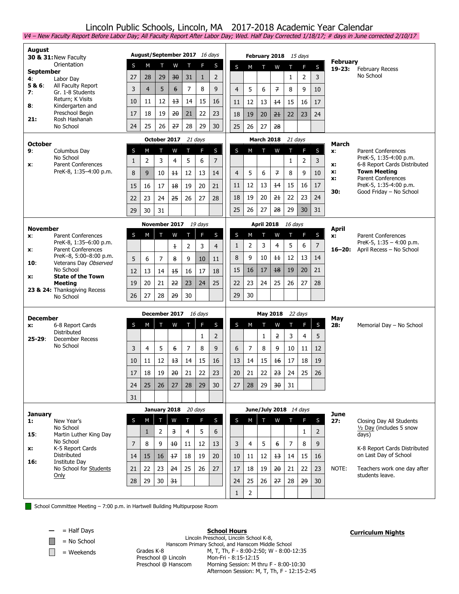## Lincoln Public Schools, Lincoln, MA 2017-2018 Academic Year Calendar

V4 – New Faculty Report Before Labor Day; All Faculty Report After Labor Day; Wed. Half Day Corrected 1/18/17; # days in June corrected 2/10/17 **August 30 & 31:**New Faculty **Orientation September 4:** Labor Day<br>**5 & 6:** All Faculty **5 & 6**: All Faculty Report **7**: Gr. 1-8 Students Return; K Visits **8**: Kindergarten and Preschool Begin **21:** Rosh Hashanah No School **August/September 2017** 16 days S M T W T F S 27 | 28 | 29 | <del>30</del> | 31 | 1 | 2 3 | 4 | 5 | 6 | 7 | 8 | 9 10 | 11 | 12 | <del>13</del> | 14 | 15 | 16 17 | 18 | 19 | <del>20</del> | 21 | 22 | 23 24 | 25 | 26 | <del>27</del> | 28 | 29 | 30 **February 2018** 15 days S M T W T F S  $1 \quad 2 \quad 3$ 4 5 6 7 8 9 10 11 | 12 | 13 | <del>14</del> | 15 | 16 | 17 18 | 19 | 20 | <del>21</del> | 22 | 23 | 24 25 26 27 28 **February 19-23:** February Recess No School **October 9**: Columbus Day No School **x**: Parent Conferences PreK-8, 1:35–4:00 p.m. **October 2017** 21 days S M T W T F S 1 | 2 | 3 | 4 | 5 | 6 | 7 8 | 9 | 10 | <del>11</del> | 12 | 13 | 14 15 | 16 | 17 | <del>18</del> | 19 | 20 | 21 22 | 23 | 24 | <del>25</del> | 26 | 27 | 28 29 30 31 **March 2018** 21 days S M T W T F S  $1 \mid 2 \mid 3$ 4 5 6 7 8 9 10 11 | 12 | 13 | <del>14</del> | 15 | 16 | 17 18 | 19 | 20 | <del>21</del> | 22 | 23 | 24 25 | 26 | 27 | <del>28</del> | 29 | 30 | 31 **March x**: Parent Conferences PreK-5, 1:35-4:00 p.m. **x:** 6-8 Report Cards Distributed **x: Town Meeting x:** Parent Conferences PreK-5, 1:35-4:00 p.m. **30:** Good Friday – No School **November x**: Parent Conferences PreK-8, 1:35–6:00 p.m. **x**: Parent Conferences PreK–8, 5:00–8:00 p.m. 10: Veterans Day Observed No School **x: State of the Town Meeting 23 & 24:** Thanksgiving Recess No School **November 2017** 19 days S M T W T F S 1 2 3 4 5 6 7 8 9 10 11 12 | 13 | 14 | <del>15</del> | 16 | 17 | 18 19 | 20 | 21 | <del>22</del> | 23 | 24 | 25  $26$  27 28  $\frac{29}{30}$  30 **April 2018** 16 days S M T W T F S 1 2 3 4 5 6 7 8 | 9 | 10 | <del>11</del> | 12 | 13 | 14 15 | 16 | 17 | <del>18</del> | 19 | 20 | 21 22 | 23 | 24 | 25 | 26 | 27 | 28  $29$  30 **April x:** Parent Conferences PreK-5, 1:35 – 4:00 p.m. **16–20:** April Recess – No School **December x:** 6-8 Report Cards Distributed **25-29**: December Recess No School **December 2017** 16 days S M T W T F S  $1 \mid 2$ 3 | 4 | 5 | <del>6</del> | 7 | 8 | 9 10 | 11 | 12 | <del>13</del> | 14 | 15 | 16 17 | 18 | 19 | <del>20</del> | 21 | 22 | 23 24 | 25 | 26 | 27 | 28 | 29 | 30 31 **May 2018** 22 days S M T W T F S  $1 \mid 2 \mid 3 \mid 4 \mid 5$ 6 7 8 9 10 11 12 13 | 14 | 15 | <del>16</del> | 17 | 18 | 19 20 | 21 | 22 | <del>23</del> | 24 | 25 | 26 27 28 29 <del>30</del> 31 **May 28:** Memorial Day – No School **January 1:** New Year's No School **15**: Martin Luther King Day No School **x:** K-5 Report Cards Distributed **16:** Institute Day No School for Students Only **January 2018** 20 days S M T W T F S 1 | 2 | 3 | 4 | 5 | 6 7 | 8 | 9 | <del>10</del> | 11 | 12 | 13 14 | 15 | 16 | <del>17</del> | 18 | 19 | 20 21 | 22 | 23 | <del>24</del> | 25 | 26 | 27  $28$  29 30  $\frac{31}{30}$ **June/July 2018** 14 days S M T W T F S  $1 \mid 2$ 3 | 4 | 5 | <del>6</del> | 7 | 8 | 9 10 | 11 | 12 | <del>13</del> | 14 | 15 | 16 17 | 18 | 19 | <del>20</del> | 21 | 22 | 23 24 | 25 | 26 | <del>27</del> | 28 | <del>29</del> | 30  $1 \mid 2$ **June 27:** Closing Day All Students ½ Day (includes 5 snow days) K-8 Report Cards Distributed on Last Day of School NOTE: Teachers work one day after students leave.

School Committee Meeting – 7:00 p.m. in Hartwell Building Multipurpose Room

**—** = Half Days

 $\|\cdot\|$  = No School

 $\Box$  = Weekends

**School Hours**

### **Curriculum Nights**

Lincoln Preschool, Lincoln School K-8, Hanscom Primary School, and Hanscom Middle School Grades K-8 M, T, Th, F - 8:00-2:50; W - 8:00-12:35 Preschool @ Lincoln Mon-Fri - 8:15-12:15 Preschool @ Hanscom Morning Session: M thru F - 8:00-10:30 Afternoon Session: M, T, Th, F - 12:15-2:45